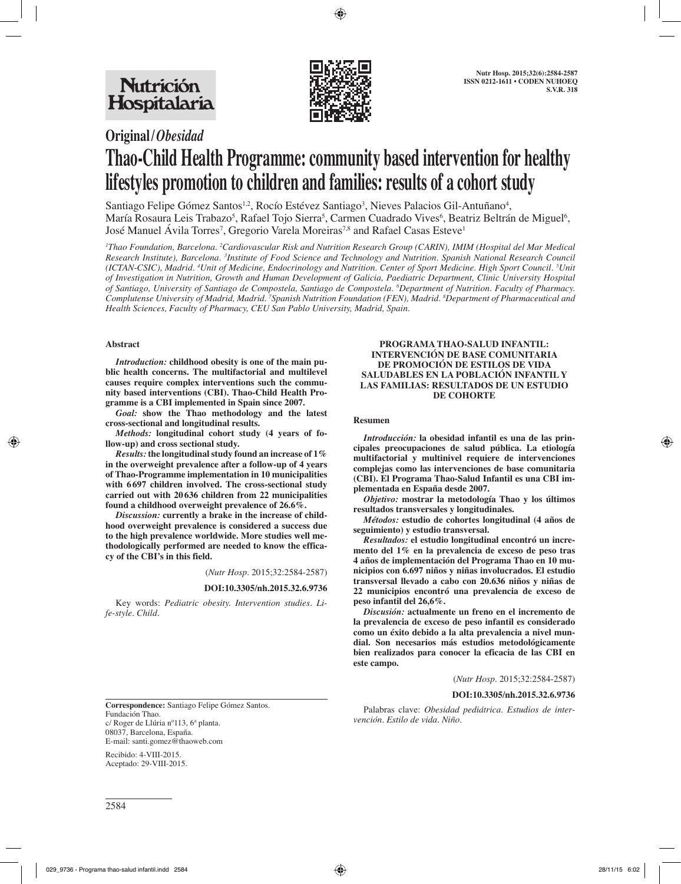

# **Original/***Obesidad* **Thao-Child Health Programme: community based intervention for healthy lifestyles promotion to children and families: results of a cohort study**

Santiago Felipe Gómez Santos<sup>1,2</sup>, Rocío Estévez Santiago<sup>3</sup>, Nieves Palacios Gil-Antuñano<sup>4</sup>, María Rosaura Leis Trabazo<sup>s</sup>, Rafael Tojo Sierra<sup>s</sup>, Carmen Cuadrado Vives<sup>6</sup>, Beatriz Beltrán de Miguel<sup>6</sup>, José Manuel Avila Torres<sup>7</sup>, Gregorio Varela Moreiras<sup>7,8</sup> and Rafael Casas Esteve<sup>1</sup>

*1 Thao Foundation, Barcelona. 2 Cardiovascular Risk and Nutrition Research Group (CARIN), IMIM (Hospital del Mar Medical*  Research Institute), Barcelona. <sup>3</sup>Institute of Food Science and Technology and Nutrition. Spanish National Research Council *(ICTAN-CSIC), Madrid. 4 Unit of Medicine, Endocrinology and Nutrition. Center of Sport Medicine. High Sport Council. 5 Unit of Investigation in Nutrition, Growth and Human Development of Galicia, Paediatric Department, Clinic University Hospital of Santiago, University of Santiago de Compostela, Santiago de Compostela. 6 Department of Nutrition. Faculty of Pharmacy. Complutense University of Madrid, Madrid. 7 Spanish Nutrition Foundation (FEN), Madrid. 8 Department of Pharmaceutical and Health Sciences, Faculty of Pharmacy, CEU San Pablo University, Madrid, Spain.*

#### **Abstract**

*Introduction:* **childhood obesity is one of the main public health concerns. The multifactorial and multilevel causes require complex interventions such the community based interventions (CBI). Thao-Child Health Programme is a CBI implemented in Spain since 2007.**

*Goal:* **show the Thao methodology and the latest cross-sectional and longitudinal results.**

*Methods:* **longitudinal cohort study (4 years of follow-up) and cross sectional study.**

*Results:* **the longitudinal study found an increase of 1% in the overweight prevalence after a follow-up of 4 years of Thao-Programme implementation in 10 municipalities with 6 697 children involved. The cross-sectional study carried out with 20 636 children from 22 municipalities found a childhood overweight prevalence of 26.6%.**

*Discussion:* **currently a brake in the increase of childhood overweight prevalence is considered a success due to the high prevalence worldwide. More studies well methodologically performed are needed to know the efficacy of the CBI's in this field.**

(*Nutr Hosp.* 2015;32:2584-2587)

#### **DOI:10.3305/nh.2015.32.6.9736**

Key words: *Pediatric obesity. Intervention studies. Life-style. Child.*

#### **PROGRAMA THAO-SALUD INFANTIL: INTERVENCIÓN DE BASE COMUNITARIA DE PROMOCIÓN DE ESTILOS DE VIDA SALUDABLES EN LA POBLACIÓN INFANTIL Y LAS FAMILIAS: RESULTADOS DE UN ESTUDIO DE COHORTE**

#### **Resumen**

*Introducción:* **la obesidad infantil es una de las principales preocupaciones de salud pública. La etiología multifactorial y multinivel requiere de intervenciones complejas como las intervenciones de base comunitaria (CBI). El Programa Thao-Salud Infantil es una CBI implementada en España desde 2007.**

*Objetivo:* **mostrar la metodología Thao y los últimos resultados transversales y longitudinales.**

*Métodos:* **estudio de cohortes longitudinal (4 años de seguimiento) y estudio transversal.**

*Resultados:* **el estudio longitudinal encontró un incremento del 1% en la prevalencia de exceso de peso tras 4 años de implementación del Programa Thao en 10 municipios con 6.697 niños y niñas involucrados. El estudio transversal llevado a cabo con 20.636 niños y niñas de 22 municipios encontró una prevalencia de exceso de peso infantil del 26,6%.**

*Discusión:* **actualmente un freno en el incremento de la prevalencia de exceso de peso infantil es considerado como un éxito debido a la alta prevalencia a nivel mundial. Son necesarios más estudios metodológicamente bien realizados para conocer la eficacia de las CBI en este campo.**

(*Nutr Hosp.* 2015;32:2584-2587)

#### **DOI:10.3305/nh.2015.32.6.9736**

**Correspondence:** Santiago Felipe Gómez Santos. Fundación Thao. c/ Roger de Llúria nº113, 6ª planta. 08037, Barcelona, España. E-mail: santi.gomez@thaoweb.com

Recibido: 4-VIII-2015. Aceptado: 29-VIII-2015.

Palabras clave: *Obesidad pediátrica. Estudios de intervención. Estilo de vida. Niño.*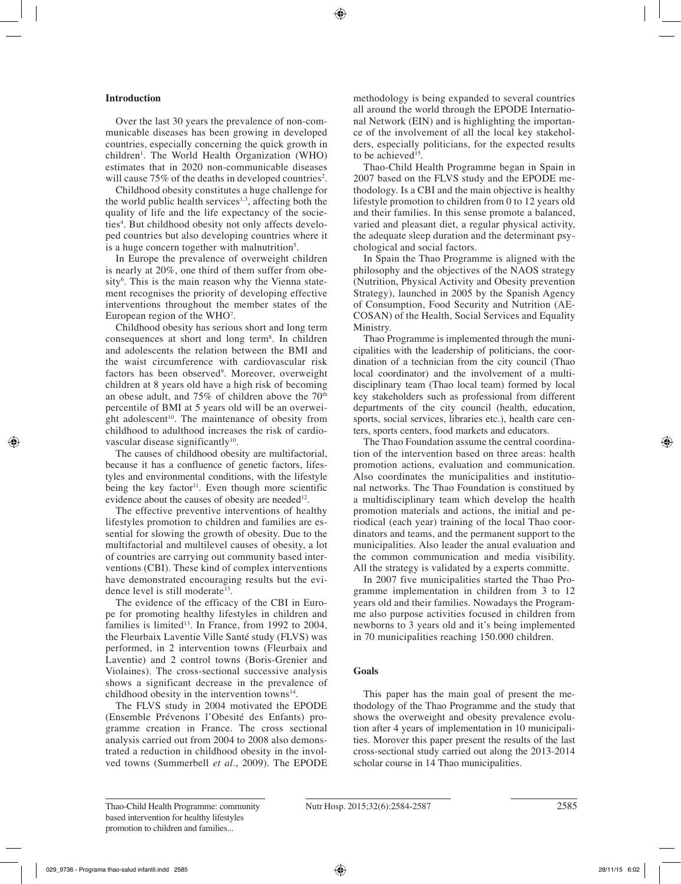# **Introduction**

Over the last 30 years the prevalence of non-communicable diseases has been growing in developed countries, especially concerning the quick growth in children<sup>1</sup>. The World Health Organization (WHO) estimates that in 2020 non-communicable diseases will cause  $75\%$  of the deaths in developed countries<sup>2</sup>.

Childhood obesity constitutes a huge challenge for the world public health services<sup>1,3</sup>, affecting both the quality of life and the life expectancy of the societies<sup>4</sup>. But childhood obesity not only affects developed countries but also developing countries where it is a huge concern together with malnutrition<sup>5</sup>.

In Europe the prevalence of overweight children is nearly at 20%, one third of them suffer from obesity<sup>6</sup>. This is the main reason why the Vienna statement recognises the priority of developing effective interventions throughout the member states of the European region of the WHO<sup>7</sup>.

Childhood obesity has serious short and long term consequences at short and long term8 . In children and adolescents the relation between the BMI and the waist circumference with cardiovascular risk factors has been observed9 . Moreover, overweight children at 8 years old have a high risk of becoming an obese adult, and 75% of children above the 70<sup>th</sup> percentile of BMI at 5 years old will be an overweight adolescent<sup>10</sup>. The maintenance of obesity from childhood to adulthood increases the risk of cardiovascular disease significantly<sup>10</sup>.

The causes of childhood obesity are multifactorial, because it has a confluence of genetic factors, lifestyles and environmental conditions, with the lifestyle being the key factor<sup>11</sup>. Even though more scientific evidence about the causes of obesity are needed<sup>12</sup>.

The effective preventive interventions of healthy lifestyles promotion to children and families are essential for slowing the growth of obesity. Due to the multifactorial and multilevel causes of obesity, a lot of countries are carrying out community based interventions (CBI). These kind of complex interventions have demonstrated encouraging results but the evidence level is still moderate<sup>13</sup>.

The evidence of the efficacy of the CBI in Europe for promoting healthy lifestyles in children and families is limited<sup>13</sup>. In France, from 1992 to 2004, the Fleurbaix Laventie Ville Santé study (FLVS) was performed, in 2 intervention towns (Fleurbaix and Laventie) and 2 control towns (Boris-Grenier and Violaines). The cross-sectional successive analysis shows a significant decrease in the prevalence of childhood obesity in the intervention towns $14$ .

The FLVS study in 2004 motivated the EPODE (Ensemble Prévenons l'Obesité des Enfants) programme creation in France. The cross sectional analysis carried out from 2004 to 2008 also demonstrated a reduction in childhood obesity in the involved towns (Summerbell *et al.*, 2009). The EPODE methodology is being expanded to several countries all around the world through the EPODE International Network (EIN) and is highlighting the importance of the involvement of all the local key stakeholders, especially politicians, for the expected results to be achieved<sup>15</sup>.

Thao-Child Health Programme began in Spain in 2007 based on the FLVS study and the EPODE methodology. Is a CBI and the main objective is healthy lifestyle promotion to children from 0 to 12 years old and their families. In this sense promote a balanced, varied and pleasant diet, a regular physical activity, the adequate sleep duration and the determinant psychological and social factors.

In Spain the Thao Programme is aligned with the philosophy and the objectives of the NAOS strategy (Nutrition, Physical Activity and Obesity prevention Strategy), launched in 2005 by the Spanish Agency of Consumption, Food Security and Nutrition (AE-COSAN) of the Health, Social Services and Equality Ministry.

Thao Programme is implemented through the municipalities with the leadership of politicians, the coordination of a technician from the city council (Thao local coordinator) and the involvement of a multidisciplinary team (Thao local team) formed by local key stakeholders such as professional from different departments of the city council (health, education, sports, social services, libraries etc.), health care centers, sports centers, food markets and educators.

The Thao Foundation assume the central coordination of the intervention based on three areas: health promotion actions, evaluation and communication. Also coordinates the municipalities and institutional networks. The Thao Foundation is constitued by a multidisciplinary team which develop the health promotion materials and actions, the initial and periodical (each year) training of the local Thao coordinators and teams, and the permanent support to the municipalities. Also leader the anual evaluation and the common communication and media visibility. All the strategy is validated by a experts committe.

In 2007 five municipalities started the Thao Programme implementation in children from 3 to 12 years old and their families. Nowadays the Programme also purpose activities focused in children from newborns to 3 years old and it's being implemented in 70 municipalities reaching 150.000 children.

# **Goals**

This paper has the main goal of present the methodology of the Thao Programme and the study that shows the overweight and obesity prevalence evolution after 4 years of implementation in 10 municipalities. Morover this paper present the results of the last cross-sectional study carried out along the 2013-2014 scholar course in 14 Thao municipalities.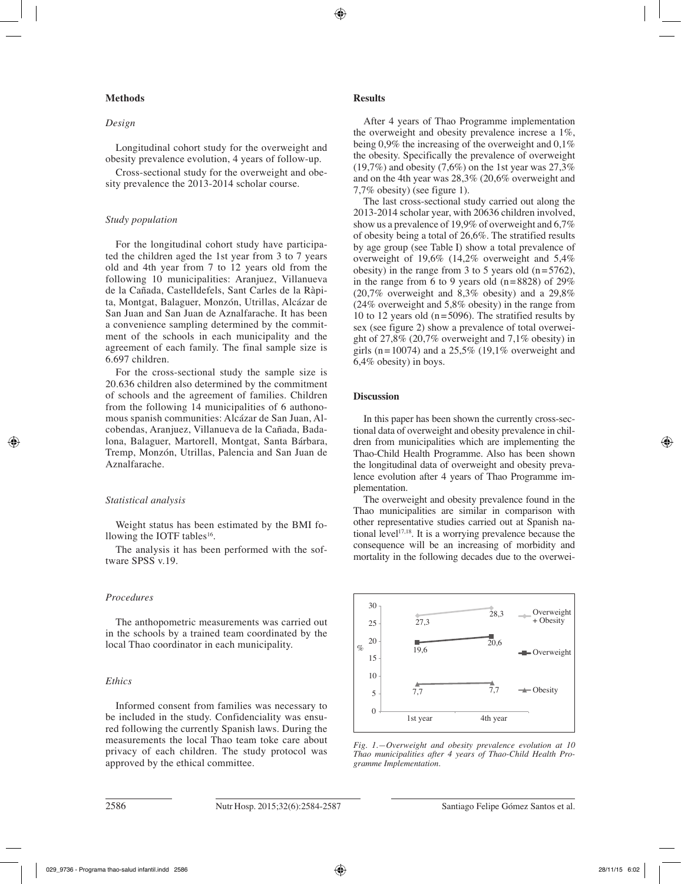## **Methods**

## *Design*

Longitudinal cohort study for the overweight and obesity prevalence evolution, 4 years of follow-up.

Cross-sectional study for the overweight and obesity prevalence the 2013-2014 scholar course.

#### *Study population*

For the longitudinal cohort study have participated the children aged the 1st year from 3 to 7 years old and 4th year from 7 to 12 years old from the following 10 municipalities: Aranjuez, Villanueva de la Cañada, Castelldefels, Sant Carles de la Ràpita, Montgat, Balaguer, Monzón, Utrillas, Alcázar de San Juan and San Juan de Aznalfarache. It has been a convenience sampling determined by the commitment of the schools in each municipality and the agreement of each family. The final sample size is 6.697 children.

For the cross-sectional study the sample size is 20.636 children also determined by the commitment of schools and the agreement of families. Children from the following 14 municipalities of 6 authonomous spanish communities: Alcázar de San Juan, Alcobendas, Aranjuez, Villanueva de la Cañada, Badalona, Balaguer, Martorell, Montgat, Santa Bárbara, Tremp, Monzón, Utrillas, Palencia and San Juan de Aznalfarache.

#### *Statistical analysis*

Weight status has been estimated by the BMI following the IOTF tables<sup>16</sup>.

The analysis it has been performed with the software SPSS v.19.

# *Procedures*

The anthopometric measurements was carried out in the schools by a trained team coordinated by the local Thao coordinator in each municipality.

### *Ethics*

Informed consent from families was necessary to be included in the study. Confidenciality was ensured following the currently Spanish laws. During the measurements the local Thao team toke care about privacy of each children. The study protocol was approved by the ethical committee.

# **Results**

After 4 years of Thao Programme implementation the overweight and obesity prevalence increse a 1%, being 0,9% the increasing of the overweight and 0,1% the obesity. Specifically the prevalence of overweight  $(19,7\%)$  and obesity  $(7,6\%)$  on the 1st year was 27,3% and on the 4th year was 28,3% (20,6% overweight and 7,7% obesity) (see figure 1).

The last cross-sectional study carried out along the 2013-2014 scholar year, with 20636 children involved, show us a prevalence of 19,9% of overweight and 6,7% of obesity being a total of 26,6%. The stratified results by age group (see Table I) show a total prevalence of overweight of 19,6% (14,2% overweight and 5,4% obesity) in the range from 3 to 5 years old  $(n=5762)$ , in the range from 6 to 9 years old  $(n=8828)$  of 29% (20,7% overweight and 8,3% obesity) and a 29,8% (24% overweight and 5,8% obesity) in the range from 10 to 12 years old ( $n=5096$ ). The stratified results by sex (see figure 2) show a prevalence of total overweight of 27,8% (20,7% overweight and 7,1% obesity) in girls (n=10074) and a  $25.5\%$  (19,1% overweight and 6,4% obesity) in boys.

#### **Discussion**

In this paper has been shown the currently cross-sectional data of overweight and obesity prevalence in children from municipalities which are implementing the Thao-Child Health Programme. Also has been shown the longitudinal data of overweight and obesity prevalence evolution after 4 years of Thao Programme implementation.

The overweight and obesity prevalence found in the Thao municipalities are similar in comparison with other representative studies carried out at Spanish national level<sup>17,18</sup>. It is a worrying prevalence because the consequence will be an increasing of morbidity and mortality in the following decades due to the overwei-



*Fig. 1.—Overweight and obesity prevalence evolution at 10 Thao municipalities after 4 years of Thao-Child Health Programme Implementation.*